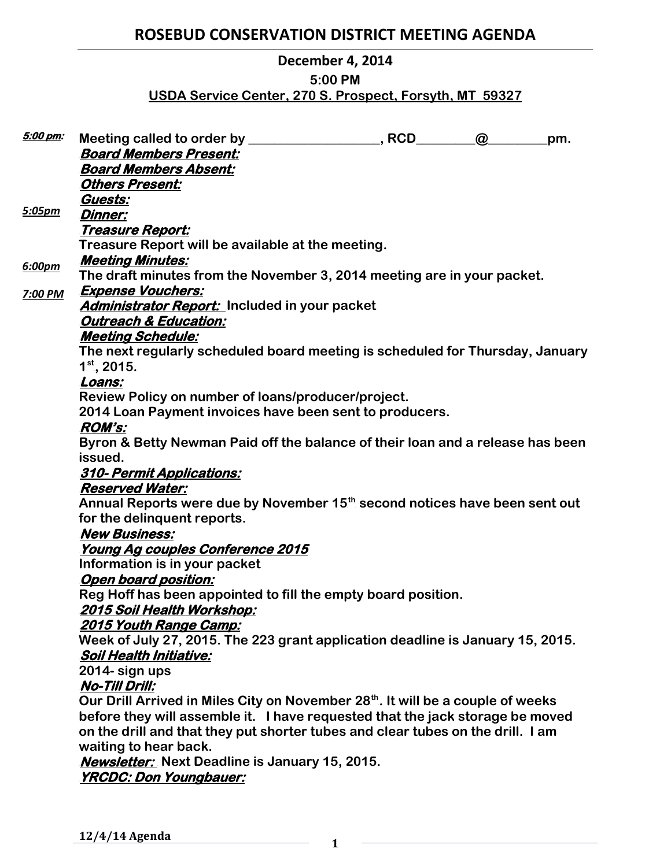# **ROSEBUD CONSERVATION DISTRICT MEETING AGENDA**

### **December 4, 2014**

#### **5:00 PM**

## **USDA Service Center, 270 S. Prospect, Forsyth, MT 59327**

| 5:00 pm:      |                                                                                                | $\omega$ | pm. |
|---------------|------------------------------------------------------------------------------------------------|----------|-----|
|               | <b>Board Members Present:</b>                                                                  |          |     |
|               | <b>Board Members Absent:</b>                                                                   |          |     |
|               | <b>Others Present:</b>                                                                         |          |     |
|               | Guests:                                                                                        |          |     |
| <u>5:05pm</u> | <b>Dinner:</b>                                                                                 |          |     |
|               | <u> Treasure Report:</u>                                                                       |          |     |
|               | Treasure Report will be available at the meeting.                                              |          |     |
| 6:00pm        | <b>Meeting Minutes:</b>                                                                        |          |     |
|               | The draft minutes from the November 3, 2014 meeting are in your packet.                        |          |     |
| 7:00 PM       | <b>Expense Vouchers:</b>                                                                       |          |     |
|               | Administrator Report: Included in your packet                                                  |          |     |
|               | <b>Outreach &amp; Education:</b>                                                               |          |     |
|               | <b>Meeting Schedule:</b>                                                                       |          |     |
|               | The next regularly scheduled board meeting is scheduled for Thursday, January<br>$1st$ , 2015. |          |     |
|               | Loans:                                                                                         |          |     |
|               | Review Policy on number of loans/producer/project.                                             |          |     |
|               | 2014 Loan Payment invoices have been sent to producers.                                        |          |     |
|               | <b>ROM's:</b>                                                                                  |          |     |
|               | Byron & Betty Newman Paid off the balance of their loan and a release has been                 |          |     |
|               | issued.                                                                                        |          |     |
|               | <b>310- Permit Applications:</b>                                                               |          |     |
|               | <b>Reserved Water:</b>                                                                         |          |     |
|               | Annual Reports were due by November 15 <sup>th</sup> second notices have been sent out         |          |     |
|               | for the delinquent reports.                                                                    |          |     |
|               | <b>New Business:</b>                                                                           |          |     |
|               | <u>Young Ag couples Conference 2015</u>                                                        |          |     |
|               | Information is in your packet                                                                  |          |     |
|               | <b>Open board position:</b>                                                                    |          |     |
|               | Reg Hoff has been appointed to fill the empty board position.                                  |          |     |
|               | 2015 Soil Health Workshop:                                                                     |          |     |
|               | <u> 2015 Youth Range Camp:</u>                                                                 |          |     |
|               | Week of July 27, 2015. The 223 grant application deadline is January 15, 2015.                 |          |     |
|               | <b>Soil Health Initiative:</b>                                                                 |          |     |
|               | 2014- sign ups                                                                                 |          |     |
|               | <b>No-Till Drill:</b>                                                                          |          |     |
|               | Our Drill Arrived in Miles City on November 28th. It will be a couple of weeks                 |          |     |
|               | before they will assemble it. I have requested that the jack storage be moved                  |          |     |
|               | on the drill and that they put shorter tubes and clear tubes on the drill. I am                |          |     |
|               | waiting to hear back.                                                                          |          |     |
|               | <b>Newsletter:</b> Next Deadline is January 15, 2015.                                          |          |     |
|               | <b>YRCDC: Don Youngbauer:</b>                                                                  |          |     |